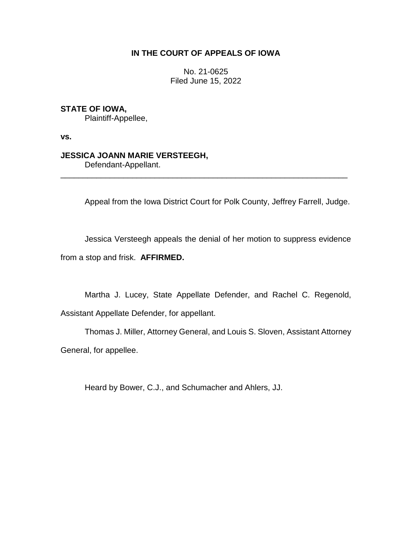# **IN THE COURT OF APPEALS OF IOWA**

No. 21-0625 Filed June 15, 2022

# **STATE OF IOWA,**

Plaintiff-Appellee,

**vs.**

## **JESSICA JOANN MARIE VERSTEEGH,**

Defendant-Appellant.

Appeal from the Iowa District Court for Polk County, Jeffrey Farrell, Judge.

Jessica Versteegh appeals the denial of her motion to suppress evidence from a stop and frisk. **AFFIRMED.**

\_\_\_\_\_\_\_\_\_\_\_\_\_\_\_\_\_\_\_\_\_\_\_\_\_\_\_\_\_\_\_\_\_\_\_\_\_\_\_\_\_\_\_\_\_\_\_\_\_\_\_\_\_\_\_\_\_\_\_\_\_\_\_\_

Martha J. Lucey, State Appellate Defender, and Rachel C. Regenold, Assistant Appellate Defender, for appellant.

Thomas J. Miller, Attorney General, and Louis S. Sloven, Assistant Attorney General, for appellee.

Heard by Bower, C.J., and Schumacher and Ahlers, JJ.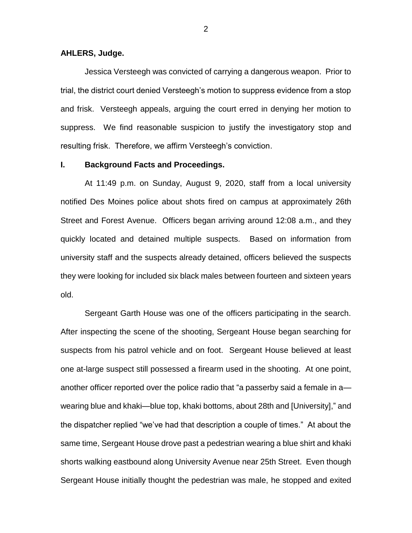#### **AHLERS, Judge.**

Jessica Versteegh was convicted of carrying a dangerous weapon. Prior to trial, the district court denied Versteegh's motion to suppress evidence from a stop and frisk. Versteegh appeals, arguing the court erred in denying her motion to suppress. We find reasonable suspicion to justify the investigatory stop and resulting frisk. Therefore, we affirm Versteegh's conviction.

#### **I. Background Facts and Proceedings.**

At 11:49 p.m. on Sunday, August 9, 2020, staff from a local university notified Des Moines police about shots fired on campus at approximately 26th Street and Forest Avenue. Officers began arriving around 12:08 a.m., and they quickly located and detained multiple suspects. Based on information from university staff and the suspects already detained, officers believed the suspects they were looking for included six black males between fourteen and sixteen years old.

Sergeant Garth House was one of the officers participating in the search. After inspecting the scene of the shooting, Sergeant House began searching for suspects from his patrol vehicle and on foot. Sergeant House believed at least one at-large suspect still possessed a firearm used in the shooting. At one point, another officer reported over the police radio that "a passerby said a female in a wearing blue and khaki—blue top, khaki bottoms, about 28th and [University]," and the dispatcher replied "we've had that description a couple of times." At about the same time, Sergeant House drove past a pedestrian wearing a blue shirt and khaki shorts walking eastbound along University Avenue near 25th Street. Even though Sergeant House initially thought the pedestrian was male, he stopped and exited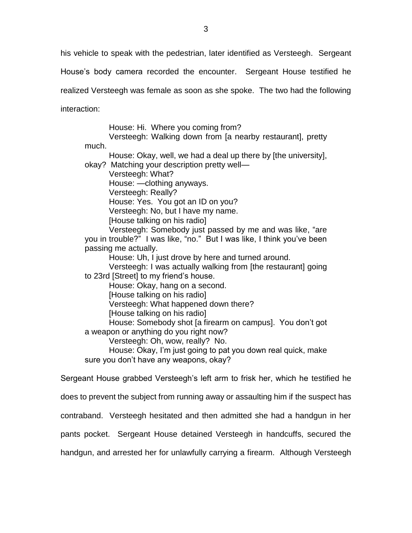his vehicle to speak with the pedestrian, later identified as Versteegh. Sergeant

House's body camera recorded the encounter. Sergeant House testified he

realized Versteegh was female as soon as she spoke. The two had the following

interaction:

House: Hi. Where you coming from?

Versteegh: Walking down from [a nearby restaurant], pretty much.

House: Okay, well, we had a deal up there by [the university], okay? Matching your description pretty well—

Versteegh: What?

House: —clothing anyways.

Versteegh: Really?

House: Yes. You got an ID on you?

Versteegh: No, but I have my name.

[House talking on his radio]

Versteegh: Somebody just passed by me and was like, "are you in trouble?" I was like, "no." But I was like, I think you've been passing me actually.

House: Uh, I just drove by here and turned around.

Versteegh: I was actually walking from [the restaurant] going to 23rd [Street] to my friend's house.

House: Okay, hang on a second.

[House talking on his radio]

Versteegh: What happened down there?

[House talking on his radio]

House: Somebody shot [a firearm on campus]. You don't got a weapon or anything do you right now?

Versteegh: Oh, wow, really? No.

House: Okay, I'm just going to pat you down real quick, make sure you don't have any weapons, okay?

Sergeant House grabbed Versteegh's left arm to frisk her, which he testified he

does to prevent the subject from running away or assaulting him if the suspect has

contraband. Versteegh hesitated and then admitted she had a handgun in her

pants pocket. Sergeant House detained Versteegh in handcuffs, secured the

handgun, and arrested her for unlawfully carrying a firearm. Although Versteegh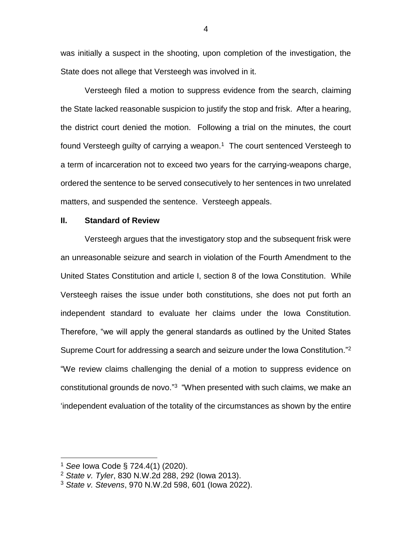was initially a suspect in the shooting, upon completion of the investigation, the State does not allege that Versteegh was involved in it.

Versteegh filed a motion to suppress evidence from the search, claiming the State lacked reasonable suspicion to justify the stop and frisk. After a hearing, the district court denied the motion. Following a trial on the minutes, the court found Versteegh guilty of carrying a weapon. $1$  The court sentenced Versteegh to a term of incarceration not to exceed two years for the carrying-weapons charge, ordered the sentence to be served consecutively to her sentences in two unrelated matters, and suspended the sentence. Versteegh appeals.

### **II. Standard of Review**

Versteegh argues that the investigatory stop and the subsequent frisk were an unreasonable seizure and search in violation of the Fourth Amendment to the United States Constitution and article I, section 8 of the Iowa Constitution. While Versteegh raises the issue under both constitutions, she does not put forth an independent standard to evaluate her claims under the Iowa Constitution. Therefore, "we will apply the general standards as outlined by the United States Supreme Court for addressing a search and seizure under the Iowa Constitution."<sup>2</sup> "We review claims challenging the denial of a motion to suppress evidence on constitutional grounds de novo."<sup>3</sup> "When presented with such claims, we make an 'independent evaluation of the totality of the circumstances as shown by the entire

<sup>1</sup> *See* Iowa Code § 724.4(1) (2020).

<sup>2</sup> *State v. Tyler*, 830 N.W.2d 288, 292 (Iowa 2013).

<sup>3</sup> *State v. Stevens*, 970 N.W.2d 598, 601 (Iowa 2022).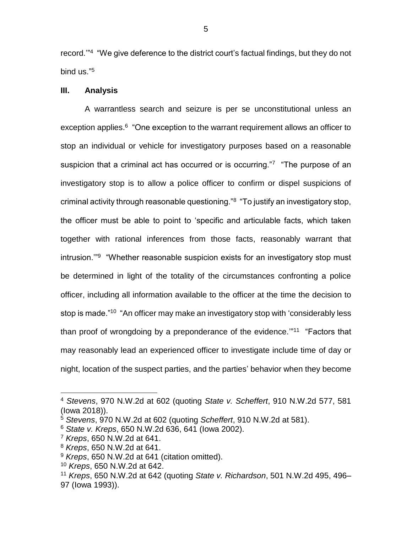record."<sup>4</sup> "We give deference to the district court's factual findings, but they do not bind us." 5

### **III. Analysis**

A warrantless search and seizure is per se unconstitutional unless an exception applies.<sup>6</sup> "One exception to the warrant requirement allows an officer to stop an individual or vehicle for investigatory purposes based on a reasonable suspicion that a criminal act has occurred or is occurring."7 "The purpose of an investigatory stop is to allow a police officer to confirm or dispel suspicions of criminal activity through reasonable questioning."<sup>8</sup> "To justify an investigatory stop, the officer must be able to point to 'specific and articulable facts, which taken together with rational inferences from those facts, reasonably warrant that intrusion.'"<sup>9</sup> "Whether reasonable suspicion exists for an investigatory stop must be determined in light of the totality of the circumstances confronting a police officer, including all information available to the officer at the time the decision to stop is made."<sup>10</sup> "An officer may make an investigatory stop with 'considerably less than proof of wrongdoing by a preponderance of the evidence."<sup>11</sup> "Factors that may reasonably lead an experienced officer to investigate include time of day or night, location of the suspect parties, and the parties' behavior when they become

<sup>4</sup> *Stevens*, 970 N.W.2d at 602 (quoting *State v. Scheffert*, 910 N.W.2d 577, 581 (Iowa 2018)).

<sup>5</sup> *Stevens*, 970 N.W.2d at 602 (quoting *Scheffert*, 910 N.W.2d at 581).

<sup>6</sup> *State v. Kreps*, 650 N.W.2d 636, 641 (Iowa 2002).

<sup>7</sup> *Kreps*, 650 N.W.2d at 641.

<sup>8</sup> *Kreps*, 650 N.W.2d at 641.

<sup>9</sup> *Kreps*, 650 N.W.2d at 641 (citation omitted).

<sup>10</sup> *Kreps*, 650 N.W.2d at 642.

<sup>11</sup> *Kreps*, 650 N.W.2d at 642 (quoting *State v. Richardson*, 501 N.W.2d 495, 496– 97 (Iowa 1993)).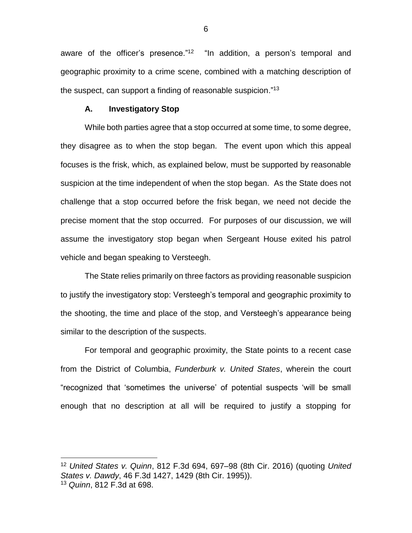aware of the officer's presence."<sup>12</sup> "In addition, a person's temporal and geographic proximity to a crime scene, combined with a matching description of the suspect, can support a finding of reasonable suspicion."<sup>13</sup>

#### **A. Investigatory Stop**

 $\overline{a}$ 

While both parties agree that a stop occurred at some time, to some degree, they disagree as to when the stop began. The event upon which this appeal focuses is the frisk, which, as explained below, must be supported by reasonable suspicion at the time independent of when the stop began. As the State does not challenge that a stop occurred before the frisk began, we need not decide the precise moment that the stop occurred. For purposes of our discussion, we will assume the investigatory stop began when Sergeant House exited his patrol vehicle and began speaking to Versteegh.

The State relies primarily on three factors as providing reasonable suspicion to justify the investigatory stop: Versteegh's temporal and geographic proximity to the shooting, the time and place of the stop, and Versteegh's appearance being similar to the description of the suspects.

For temporal and geographic proximity, the State points to a recent case from the District of Columbia, *Funderburk v. United States*, wherein the court "recognized that 'sometimes the universe' of potential suspects 'will be small enough that no description at all will be required to justify a stopping for

<sup>12</sup> *United States v. Quinn*, 812 F.3d 694, 697–98 (8th Cir. 2016) (quoting *United States v. Dawdy*, 46 F.3d 1427, 1429 (8th Cir. 1995)). <sup>13</sup> *Quinn*, 812 F.3d at 698.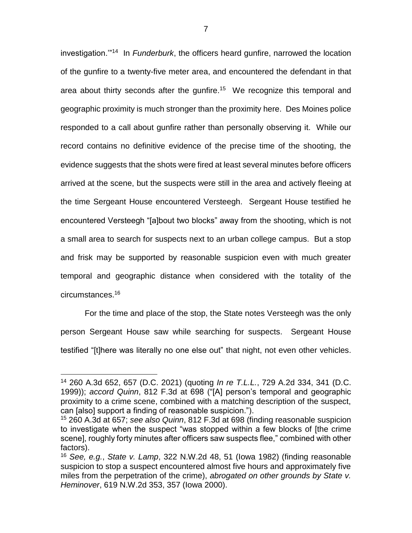investigation.'"<sup>14</sup> In *Funderburk*, the officers heard gunfire, narrowed the location of the gunfire to a twenty-five meter area, and encountered the defendant in that area about thirty seconds after the gunfire.<sup>15</sup> We recognize this temporal and geographic proximity is much stronger than the proximity here. Des Moines police responded to a call about gunfire rather than personally observing it. While our record contains no definitive evidence of the precise time of the shooting, the evidence suggests that the shots were fired at least several minutes before officers arrived at the scene, but the suspects were still in the area and actively fleeing at the time Sergeant House encountered Versteegh. Sergeant House testified he encountered Versteegh "[a]bout two blocks" away from the shooting, which is not a small area to search for suspects next to an urban college campus. But a stop and frisk may be supported by reasonable suspicion even with much greater temporal and geographic distance when considered with the totality of the circumstances. 16

For the time and place of the stop, the State notes Versteegh was the only person Sergeant House saw while searching for suspects. Sergeant House testified "[t]here was literally no one else out" that night, not even other vehicles.

<sup>14</sup> 260 A.3d 652, 657 (D.C. 2021) (quoting *In re T.L.L.*, 729 A.2d 334, 341 (D.C. 1999)); *accord Quinn*, 812 F.3d at 698 ("[A] person's temporal and geographic proximity to a crime scene, combined with a matching description of the suspect, can [also] support a finding of reasonable suspicion.").

<sup>15</sup> 260 A.3d at 657; *see also Quinn*, 812 F.3d at 698 (finding reasonable suspicion to investigate when the suspect "was stopped within a few blocks of [the crime scene], roughly forty minutes after officers saw suspects flee," combined with other factors).

<sup>16</sup> *See, e.g.*, *State v. Lamp*, 322 N.W.2d 48, 51 (Iowa 1982) (finding reasonable suspicion to stop a suspect encountered almost five hours and approximately five miles from the perpetration of the crime), *abrogated on other grounds by State v. Heminover*, 619 N.W.2d 353, 357 (Iowa 2000).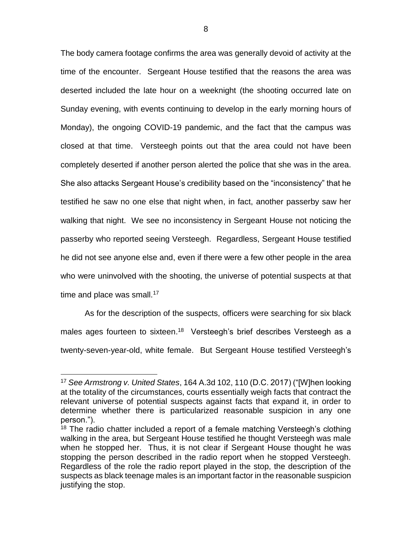The body camera footage confirms the area was generally devoid of activity at the time of the encounter. Sergeant House testified that the reasons the area was deserted included the late hour on a weeknight (the shooting occurred late on Sunday evening, with events continuing to develop in the early morning hours of Monday), the ongoing COVID-19 pandemic, and the fact that the campus was closed at that time. Versteegh points out that the area could not have been completely deserted if another person alerted the police that she was in the area. She also attacks Sergeant House's credibility based on the "inconsistency" that he testified he saw no one else that night when, in fact, another passerby saw her walking that night. We see no inconsistency in Sergeant House not noticing the passerby who reported seeing Versteegh. Regardless, Sergeant House testified he did not see anyone else and, even if there were a few other people in the area who were uninvolved with the shooting, the universe of potential suspects at that time and place was small. $17$ 

As for the description of the suspects, officers were searching for six black males ages fourteen to sixteen.<sup>18</sup> Versteegh's brief describes Versteegh as a twenty-seven-year-old, white female. But Sergeant House testified Versteegh's

<sup>17</sup> *See Armstrong v. United States*, 164 A.3d 102, 110 (D.C. 2017) ("[W]hen looking at the totality of the circumstances, courts essentially weigh facts that contract the relevant universe of potential suspects against facts that expand it, in order to determine whether there is particularized reasonable suspicion in any one person.").

 $18$  The radio chatter included a report of a female matching Versteegh's clothing walking in the area, but Sergeant House testified he thought Versteegh was male when he stopped her. Thus, it is not clear if Sergeant House thought he was stopping the person described in the radio report when he stopped Versteegh. Regardless of the role the radio report played in the stop, the description of the suspects as black teenage males is an important factor in the reasonable suspicion justifying the stop.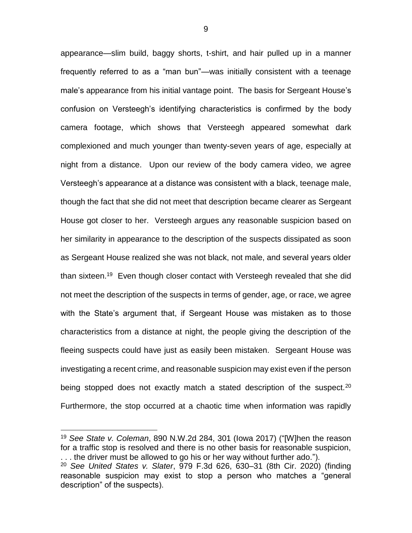appearance—slim build, baggy shorts, t-shirt, and hair pulled up in a manner frequently referred to as a "man bun"—was initially consistent with a teenage male's appearance from his initial vantage point. The basis for Sergeant House's confusion on Versteegh's identifying characteristics is confirmed by the body camera footage, which shows that Versteegh appeared somewhat dark complexioned and much younger than twenty-seven years of age, especially at night from a distance. Upon our review of the body camera video, we agree Versteegh's appearance at a distance was consistent with a black, teenage male, though the fact that she did not meet that description became clearer as Sergeant House got closer to her. Versteegh argues any reasonable suspicion based on her similarity in appearance to the description of the suspects dissipated as soon as Sergeant House realized she was not black, not male, and several years older than sixteen.<sup>19</sup> Even though closer contact with Versteegh revealed that she did not meet the description of the suspects in terms of gender, age, or race, we agree with the State's argument that, if Sergeant House was mistaken as to those characteristics from a distance at night, the people giving the description of the fleeing suspects could have just as easily been mistaken. Sergeant House was investigating a recent crime, and reasonable suspicion may exist even if the person being stopped does not exactly match a stated description of the suspect.<sup>20</sup> Furthermore, the stop occurred at a chaotic time when information was rapidly

 $\overline{a}$ 

9

<sup>19</sup> *See State v. Coleman*, 890 N.W.2d 284, 301 (Iowa 2017) ("[W]hen the reason for a traffic stop is resolved and there is no other basis for reasonable suspicion, . . . the driver must be allowed to go his or her way without further ado.").

<sup>20</sup> *See United States v. Slater*, 979 F.3d 626, 630–31 (8th Cir. 2020) (finding reasonable suspicion may exist to stop a person who matches a "general description" of the suspects).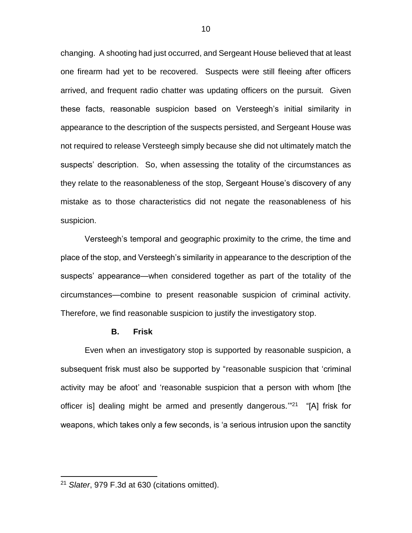changing. A shooting had just occurred, and Sergeant House believed that at least one firearm had yet to be recovered. Suspects were still fleeing after officers arrived, and frequent radio chatter was updating officers on the pursuit. Given these facts, reasonable suspicion based on Versteegh's initial similarity in appearance to the description of the suspects persisted, and Sergeant House was not required to release Versteegh simply because she did not ultimately match the suspects' description. So, when assessing the totality of the circumstances as they relate to the reasonableness of the stop, Sergeant House's discovery of any mistake as to those characteristics did not negate the reasonableness of his suspicion.

Versteegh's temporal and geographic proximity to the crime, the time and place of the stop, and Versteegh's similarity in appearance to the description of the suspects' appearance—when considered together as part of the totality of the circumstances—combine to present reasonable suspicion of criminal activity. Therefore, we find reasonable suspicion to justify the investigatory stop.

### **B. Frisk**

Even when an investigatory stop is supported by reasonable suspicion, a subsequent frisk must also be supported by "reasonable suspicion that 'criminal activity may be afoot' and 'reasonable suspicion that a person with whom [the officer is] dealing might be armed and presently dangerous."<sup>21</sup> "[A] frisk for weapons, which takes only a few seconds, is 'a serious intrusion upon the sanctity

<sup>21</sup> *Slater*, 979 F.3d at 630 (citations omitted).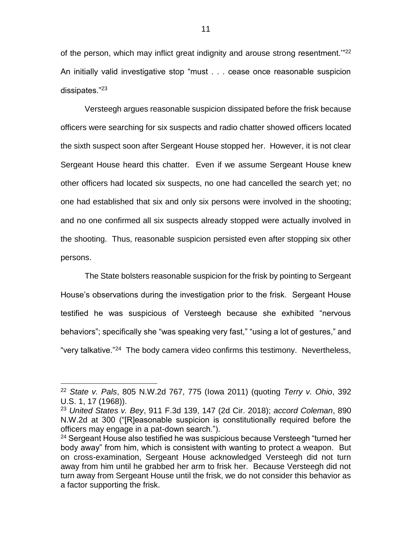of the person, which may inflict great indignity and arouse strong resentment.<sup>"22</sup> An initially valid investigative stop "must . . . cease once reasonable suspicion dissipates."<sup>23</sup>

Versteegh argues reasonable suspicion dissipated before the frisk because officers were searching for six suspects and radio chatter showed officers located the sixth suspect soon after Sergeant House stopped her. However, it is not clear Sergeant House heard this chatter. Even if we assume Sergeant House knew other officers had located six suspects, no one had cancelled the search yet; no one had established that six and only six persons were involved in the shooting; and no one confirmed all six suspects already stopped were actually involved in the shooting. Thus, reasonable suspicion persisted even after stopping six other persons.

The State bolsters reasonable suspicion for the frisk by pointing to Sergeant House's observations during the investigation prior to the frisk. Sergeant House testified he was suspicious of Versteegh because she exhibited "nervous behaviors"; specifically she "was speaking very fast," "using a lot of gestures," and "very talkative."<sup>24</sup> The body camera video confirms this testimony. Nevertheless,

<sup>22</sup> *State v. Pals*, 805 N.W.2d 767, 775 (Iowa 2011) (quoting *Terry v. Ohio*, 392 U.S. 1, 17 (1968)).

<sup>23</sup> *United States v. Bey*, 911 F.3d 139, 147 (2d Cir. 2018); *accord Coleman*, 890 N.W.2d at 300 ("[R]easonable suspicion is constitutionally required before the officers may engage in a pat-down search.").

<sup>&</sup>lt;sup>24</sup> Sergeant House also testified he was suspicious because Versteegh "turned her body away" from him, which is consistent with wanting to protect a weapon. But on cross-examination, Sergeant House acknowledged Versteegh did not turn away from him until he grabbed her arm to frisk her. Because Versteegh did not turn away from Sergeant House until the frisk, we do not consider this behavior as a factor supporting the frisk.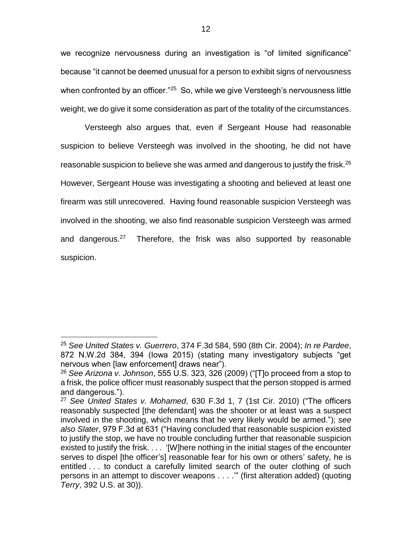we recognize nervousness during an investigation is "of limited significance" because "it cannot be deemed unusual for a person to exhibit signs of nervousness when confronted by an officer."<sup>25</sup> So, while we give Versteegh's nervousness little weight, we do give it some consideration as part of the totality of the circumstances.

Versteegh also argues that, even if Sergeant House had reasonable suspicion to believe Versteegh was involved in the shooting, he did not have reasonable suspicion to believe she was armed and dangerous to justify the frisk.<sup>26</sup> However, Sergeant House was investigating a shooting and believed at least one firearm was still unrecovered. Having found reasonable suspicion Versteegh was involved in the shooting, we also find reasonable suspicion Versteegh was armed and dangerous.<sup>27</sup> Therefore, the frisk was also supported by reasonable suspicion.

<sup>25</sup> *See United States v. Guerrero*, 374 F.3d 584, 590 (8th Cir. 2004); *In re Pardee*, 872 N.W.2d 384, 394 (Iowa 2015) (stating many investigatory subjects "get nervous when [law enforcement] draws near").

<sup>26</sup> *See Arizona v. Johnson*, 555 U.S. 323, 326 (2009) ("[T]o proceed from a stop to a frisk, the police officer must reasonably suspect that the person stopped is armed and dangerous.").

<sup>27</sup> *See United States v. Mohamed*, 630 F.3d 1, 7 (1st Cir. 2010) ("The officers reasonably suspected [the defendant] was the shooter or at least was a suspect involved in the shooting, which means that he very likely would be armed."); *see also Slater*, 979 F.3d at 631 ("Having concluded that reasonable suspicion existed to justify the stop, we have no trouble concluding further that reasonable suspicion existed to justify the frisk. . . . '[W]here nothing in the initial stages of the encounter serves to dispel [the officer's] reasonable fear for his own or others' safety, he is entitled . . . to conduct a carefully limited search of the outer clothing of such persons in an attempt to discover weapons . . . .'" (first alteration added) (quoting *Terry*, 392 U.S. at 30)).